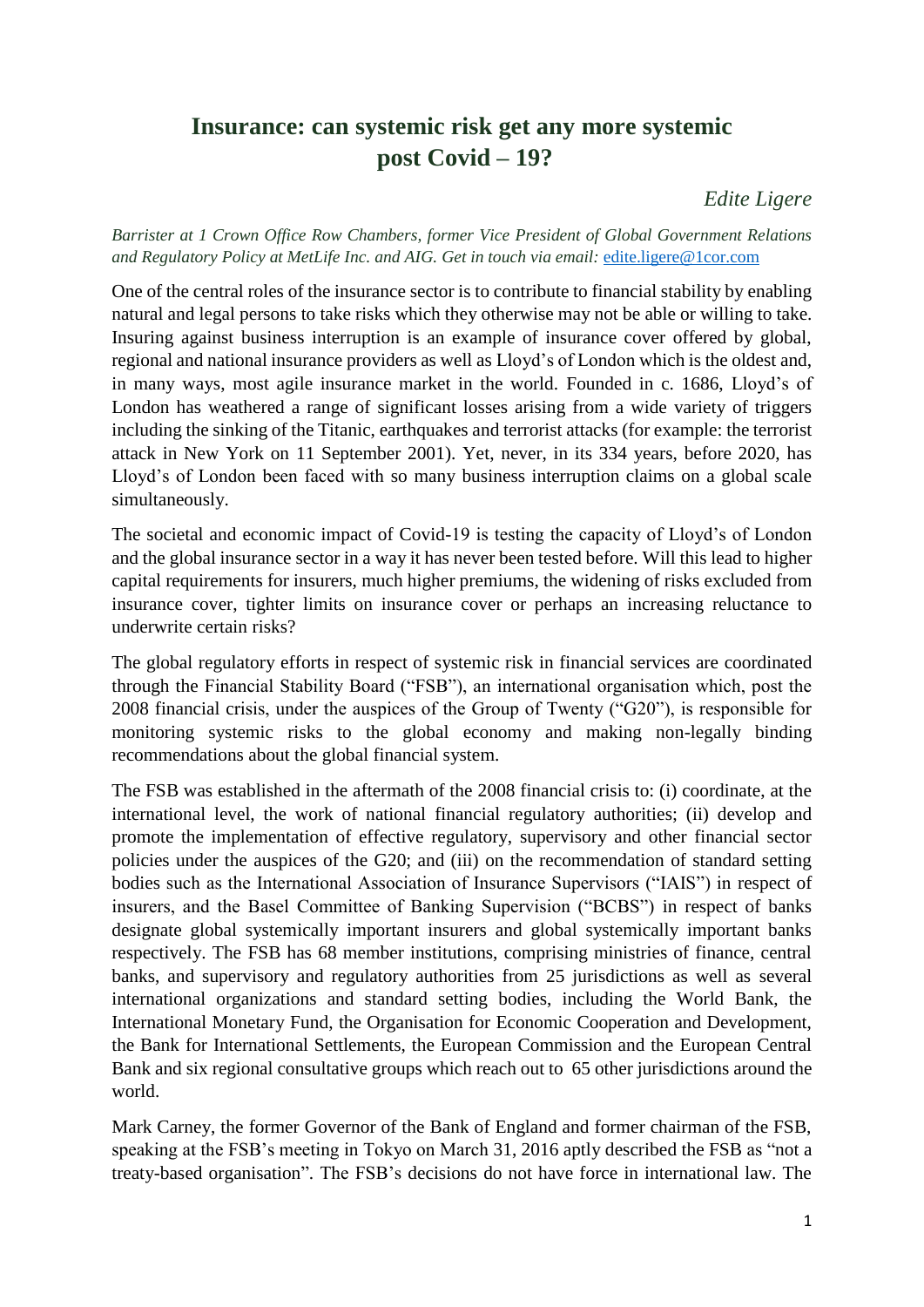## **Insurance: can systemic risk get any more systemic post Covid – 19?**

*Edite Ligere* 

*Barrister at 1 Crown Office Row Chambers, former Vice President of Global Government Relations and Regulatory Policy at MetLife Inc. and AIG. Get in touch via email:* [edite.ligere@1cor.com](mailto:edite.ligere@1cor.com)

One of the central roles of the insurance sector is to contribute to financial stability by enabling natural and legal persons to take risks which they otherwise may not be able or willing to take. Insuring against business interruption is an example of insurance cover offered by global, regional and national insurance providers as well as Lloyd's of London which is the oldest and, in many ways, most agile insurance market in the world. Founded in c. 1686, Lloyd's of London has weathered a range of significant losses arising from a wide variety of triggers including the sinking of the Titanic, earthquakes and terrorist attacks (for example: the terrorist attack in New York on 11 September 2001). Yet, never, in its 334 years, before 2020, has Lloyd's of London been faced with so many business interruption claims on a global scale simultaneously.

The societal and economic impact of Covid-19 is testing the capacity of Lloyd's of London and the global insurance sector in a way it has never been tested before. Will this lead to higher capital requirements for insurers, much higher premiums, the widening of risks excluded from insurance cover, tighter limits on insurance cover or perhaps an increasing reluctance to underwrite certain risks?

The global regulatory efforts in respect of systemic risk in financial services are coordinated through the Financial Stability Board ("FSB"), an international organisation which, post the 2008 financial crisis, under the auspices of the Group of Twenty ("G20"), is responsible for monitoring systemic risks to the global economy and making non-legally binding recommendations about the global financial system.

The FSB was established in the aftermath of the 2008 financial crisis to: (i) coordinate, at the international level, the work of national financial regulatory authorities; (ii) develop and promote the implementation of effective regulatory, supervisory and other financial sector policies under the auspices of the G20; and (iii) on the recommendation of standard setting bodies such as the International Association of Insurance Supervisors ("IAIS") in respect of insurers, and the Basel Committee of Banking Supervision ("BCBS") in respect of banks designate global systemically important insurers and global systemically important banks respectively. The FSB has 68 member institutions, comprising ministries of finance, central banks, and supervisory and regulatory authorities from 25 jurisdictions as well as several international organizations and standard setting bodies, including the World Bank, the International Monetary Fund, the Organisation for Economic Cooperation and Development, the Bank for International Settlements, the European Commission and the European Central Bank and six regional consultative groups which reach out to 65 other jurisdictions around the world.

Mark Carney, the former Governor of the Bank of England and former chairman of the FSB, speaking at the FSB's meeting in Tokyo on March 31, 2016 aptly described the FSB as "not a treaty-based organisation". The FSB's decisions do not have force in international law. The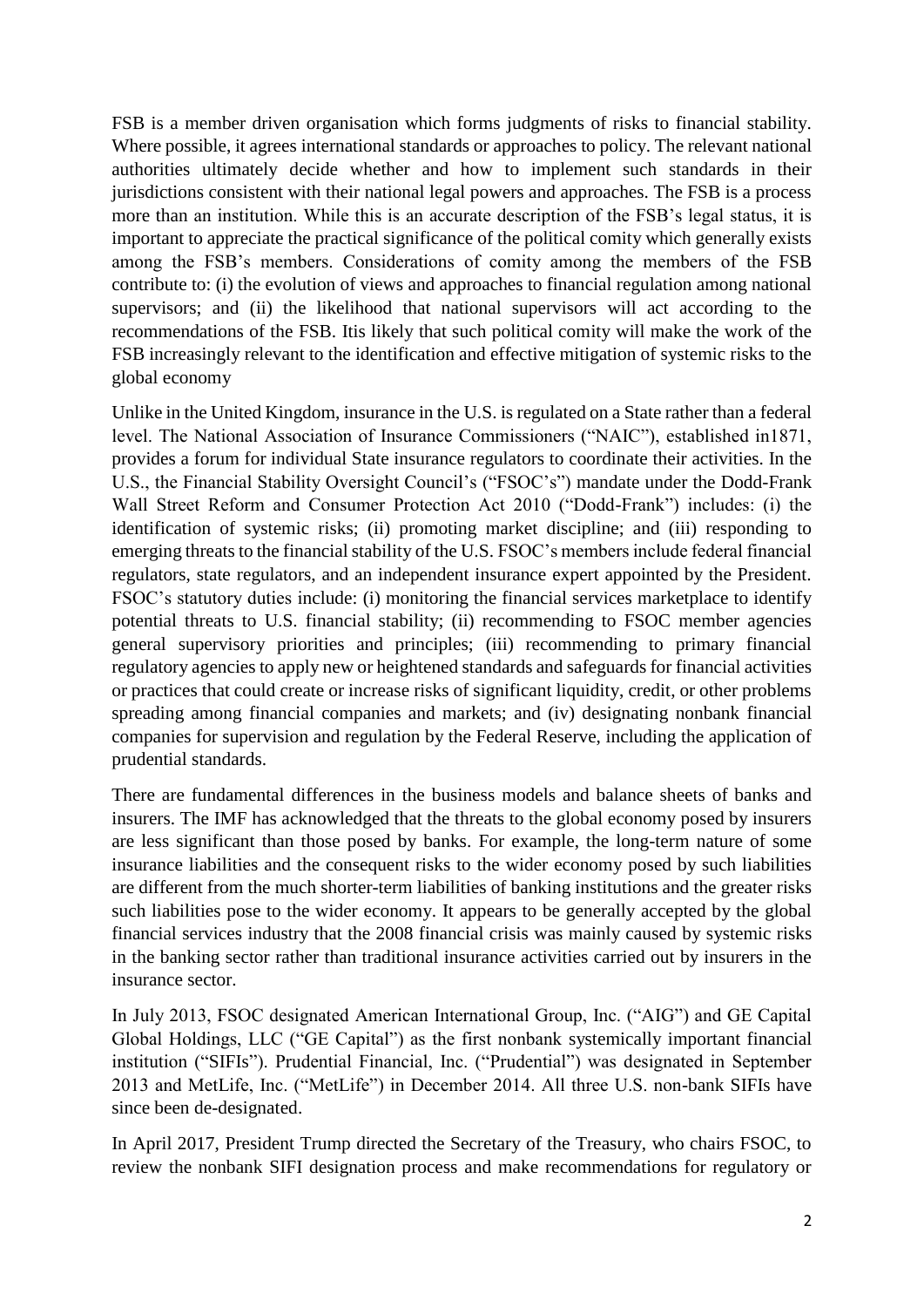FSB is a member driven organisation which forms judgments of risks to financial stability. Where possible, it agrees international standards or approaches to policy. The relevant national authorities ultimately decide whether and how to implement such standards in their jurisdictions consistent with their national legal powers and approaches. The FSB is a process more than an institution. While this is an accurate description of the FSB's legal status, it is important to appreciate the practical significance of the political comity which generally exists among the FSB's members. Considerations of comity among the members of the FSB contribute to: (i) the evolution of views and approaches to financial regulation among national supervisors; and (ii) the likelihood that national supervisors will act according to the recommendations of the FSB. Itis likely that such political comity will make the work of the FSB increasingly relevant to the identification and effective mitigation of systemic risks to the global economy

Unlike in the United Kingdom, insurance in the U.S. is regulated on a State rather than a federal level. The National Association of Insurance Commissioners ("NAIC"), established in1871, provides a forum for individual State insurance regulators to coordinate their activities. In the U.S., the Financial Stability Oversight Council's ("FSOC's") mandate under the Dodd-Frank Wall Street Reform and Consumer Protection Act 2010 ("Dodd-Frank") includes: (i) the identification of systemic risks; (ii) promoting market discipline; and (iii) responding to emerging threats to the financial stability of the U.S. FSOC's members include federal financial regulators, state regulators, and an independent insurance expert appointed by the President. FSOC's statutory duties include: (i) monitoring the financial services marketplace to identify potential threats to U.S. financial stability; (ii) recommending to FSOC member agencies general supervisory priorities and principles; (iii) recommending to primary financial regulatory agencies to apply new or heightened standards and safeguards for financial activities or practices that could create or increase risks of significant liquidity, credit, or other problems spreading among financial companies and markets; and (iv) designating nonbank financial companies for supervision and regulation by the Federal Reserve, including the application of prudential standards.

There are fundamental differences in the business models and balance sheets of banks and insurers. The IMF has acknowledged that the threats to the global economy posed by insurers are less significant than those posed by banks. For example, the long-term nature of some insurance liabilities and the consequent risks to the wider economy posed by such liabilities are different from the much shorter-term liabilities of banking institutions and the greater risks such liabilities pose to the wider economy. It appears to be generally accepted by the global financial services industry that the 2008 financial crisis was mainly caused by systemic risks in the banking sector rather than traditional insurance activities carried out by insurers in the insurance sector.

In July 2013, FSOC designated American International Group, Inc. ("AIG") and GE Capital Global Holdings, LLC ("GE Capital") as the first nonbank systemically important financial institution ("SIFIs"). Prudential Financial, Inc. ("Prudential") was designated in September 2013 and MetLife, Inc. ("MetLife") in December 2014. All three U.S. non-bank SIFIs have since been de-designated.

In April 2017, President Trump directed the Secretary of the Treasury, who chairs FSOC, to review the nonbank SIFI designation process and make recommendations for regulatory or